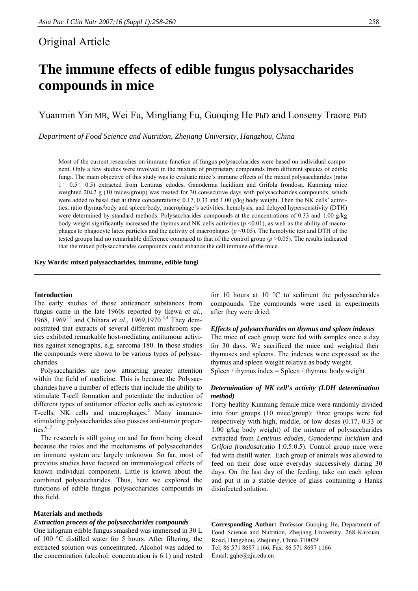# Original Article

# **The immune effects of edible fungus polysaccharides compounds in mice**

Yuanmin Yin MB, Wei Fu, Mingliang Fu, Guoqing He PhD and Lonseny Traore PhD

*Department of Food Science and Nutrition, Zhejiang University, Hangzhou, China* 

Most of the current researches on immune function of fungus polysaccharides were based on individual component. Only a few studies were involved in the mixture of proprietary compounds from different species of edible fungi. The main objective of this study was to evaluate mice's immune effects of the mixed polysaccharides (ratio 1∶ 0.5∶ 0.5) extracted from Lentinus edodes, Ganoderma lucidium and Grifola frondosa. Kunming mice weighted 20 $\pm$ 2 g (10 mices/group) was treated for 30 consecutive days with polysaccharides compounds, which were added to basal diet at three concentrations: 0.17, 0.33 and 1.00 g/kg body weight. Then the NK cells' activities, ratio thymus/body and spleen/body, macrophage's activities, hemolysis, and delayed hypersensitivity (DTH) were determined by standard methods. Polysaccharides compounds at the concentrations of 0.33 and 1.00 g/kg body weight significantly increased the thymus and NK cells activities  $(p \le 0.01)$ , as well as the ability of macrophages to phagocyte latex particles and the activity of macrophages  $(p \le 0.05)$ . The hemolytic test and DTH of the tested groups had no remarkable difference compared to that of the control group (*p* >0.05). The results indicated that the mixed polysaccharides compounds could enhance the cell immune of the mice.

#### **Key Words: mixed polysaccharides, immune, edible fungi**

#### **Introduction**

The early studies of those anticancer substances from fungus came in the late 1960s reported by Ikewa *et al*., 1968, 19691,2 and Chihara *et al*., 1969,1970.3,4 They demonstrated that extracts of several different mushroom species exhibited remarkable host-mediating antitumour activities against xenographs, e.g. sarcoma 180. In those studies the compounds were shown to be various types of polysaccharides.

 Polysaccharides are now attracting greater attention within the field of medicine. This is because the Polysaccharides have a number of effects that include the ability to stimulate T-cell formation and potentiate the induction of different types of antitumor effector cells such as cytotoxic T-cells, NK cells and macrophages.<sup>5</sup> Many immunostimulating polysaccharides also possess anti-tumor properties.<sup>6, 7</sup>

 The research is still going on and far from being closed because the roles and the mechanisms of polysaccharides on immune system are largely unknown. So far, most of previous studies have focused on immunological effects of known individual component. Little is known about the combined polysaccharides. Thus, here we explored the functions of edible fungus polysaccharides compounds in this field.

# **Materials and methods**

# *Extraction process of the polysaccharides compounds*

One kilogram edible fungus smashed was immersed in 30 L of 100 °C distilled water for 5 hours. After filtering, the extracted solution was concentrated. Alcohol was added to the concentration (alcohol: concentration is 6:1) and rested

for 10 hours at 10  $\degree$ C to sediment the polysaccharides compounds. The compounds were used in experiments after they were dried.

# *Effects of polysaccharides on thymus and spleen indexes*

The mice of each group were fed with samples once a day for 30 days. We sacrificed the mice and weighted their thymuses and spleens. The indexes were expressed as the thymus and spleen weight relative as body weight. Spleen / thymus index  $=$  Spleen / thymus: body weight

*Determination of NK cell's activity (LDH determination method)* 

Forty healthy Kunming female mice were randomly divided into four groups (10 mice/group): three groups were fed respectively with high, middle, or low doses (0.17, 0.33 or 1.00 g/kg body weight) of the mixture of polysaccharides extracted from *Lentinus edodes*, *Ganoderma lucidium* and *Grifola frondosa*(ratio 1:0.5:0.5). Control group mice were fed with distill water. Each group of animals was allowed to feed on their dose once everyday successively during 30 days. On the last day of the feeding, take out each spleen and put it in a stable device of glass containing a Hanks disinfected solution.

**Corresponding Author:** Professor Guoqing He, Department of Food Science and Nutrition, Zhejiang University, 268 Kaixuan Road, Hangzhou, Zhejiang, China 310029 Tel: 86 571 8697 1166; Fax: 86 571 8697 1166 Email: gqhe@zju.edu.cn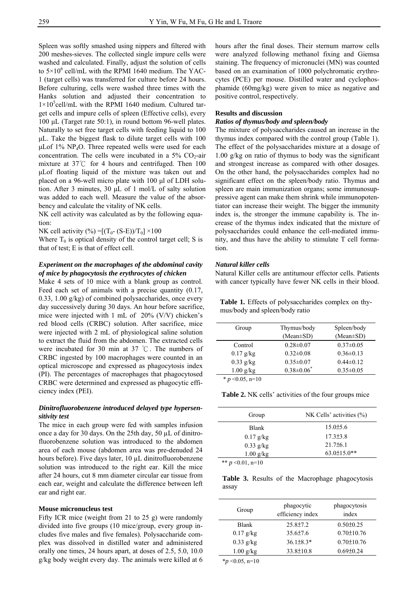Spleen was softly smashed using nippers and filtered with 200 meshes-sieves. The collected single impure cells were washed and calculated. Finally, adjust the solution of cells to  $5 \times 10^6$  cell/mL with the RPMI 1640 medium. The YAC-1 (target cells) was transferred for culture before 24 hours. Before culturing, cells were washed three times with the Hanks solution and adjusted their concentration to  $1\times10^{5}$ cell/mL with the RPMI 1640 medium. Cultured target cells and impure cells of spleen (Effective cells), every 100 μL (Target rate 50:1), in round bottom 96-well plates. Naturally to set free target cells with feeding liquid to 100 μL. Take the biggest flask to dilute target cells with 100 μLof  $1\%$  NP<sub>4</sub>O. Three repeated wells were used for each concentration. The cells were incubated in a  $5\%$  CO<sub>2</sub>-air mixture at 37℃ for 4 hours and centrifuged. Then 100 μLof floating liquid of the mixture was taken out and placed on a 96-well micro plate with 100 μl of LDH solution. After 3 minutes, 30 μL of 1 mol/L of salty solution was added to each well. Measure the value of the absorbency and calculate the vitality of NK cells.

NK cell activity was calculated as by the following equation:

NK cell activity (%) =  $[(T_0 - (S-E))/T_0] \times 100$ 

Where  $T_0$  is optical density of the control target cell; S is that of test; E is that of effect cell.

# *Experiment on the macrophages of the abdominal cavity of mice by phagocytosis the erythrocytes of chicken*

Make 4 sets of 10 mice with a blank group as control. Feed each set of animals with a precise quantity (0.17, 0.33, 1.00 g/kg) of combined polysaccharides, once every day successively during 30 days. An hour before sacrifice, mice were injected with 1 mL of 20% (V/V) chicken's red blood cells (CRBC) solution. After sacrifice, mice were injected with 2 mL of physiological saline solution to extract the fluid from the abdomen. The extracted cells were incubated for 30 min at 37 ℃. The numbers of CRBC ingested by 100 macrophages were counted in an optical microscope and expressed as phagocytosis index (PI). The percentages of macrophages that phagocytosed CRBC were determined and expressed as phagocytic efficiency index (PEI).

# *Dinitrofluorobenzene introduced delayed type hypersensitivity test*

The mice in each group were fed with samples infusion once a day for 30 days. On the 25th day, 50 µL of dinitrofluorobenzene solution was introduced to the abdomen area of each mouse (abdomen area was pre-denuded 24 hours before). Five days later, 10  $\mu$ L dinitrofluorobenzene solution was introduced to the right ear. Kill the mice after 24 hours, cut 8 mm diameter circular ear tissue from each ear, weight and calculate the difference between left ear and right ear.

# **Mouse micronucleus test**

Fifty ICR mice (weight from 21 to 25 g) were randomly divided into five groups (10 mice/group, every group includes five males and five females). Polysaccharide complex was dissolved in distilled water and administered orally one times, 24 hours apart, at doses of 2.5, 5.0, 10.0 g/kg body weight every day. The animals were killed at 6 hours after the final doses. Their sternum marrow cells were analyzed following methanol fixing and Giemsa staining. The frequency of micronuclei (MN) was counted based on an examination of 1000 polychromatic erythrocytes (PCE) per mouse. Distilled water and cyclophosphamide (60mg/kg) were given to mice as negative and positive control, respectively.

# **Results and discussion**

# *Ratios of thymus/body and spleen/body*

The mixture of polysaccharides caused an increase in the thymus index compared with the control group (Table 1). The effect of the polysaccharides mixture at a dosage of 1.00 g/kg on ratio of thymus to body was the significant and strongest increase as compared with other dosages. On the other hand, the polysaccharides complex had no significant effect on the spleen/body ratio. Thymus and spleen are main immunization organs; some immunosuppressive agent can make them shrink while immunopotentiator can increase their weight. The bigger the immunity index is, the stronger the immune capability is. The increase of the thymus index indicated that the mixture of polysaccharides could enhance the cell-mediated immunity, and thus have the ability to stimulate T cell formation.

# *Natural killer cells*

Natural Killer cells are antitumour effector cells. Patients with cancer typically have fewer NK cells in their blood.

**Table 1.** Effects of polysaccharides complex on thymus/body and spleen/body ratio

| Group                   | Thymus/body       | Spleen/body     |
|-------------------------|-------------------|-----------------|
|                         | $(Mean \pm SD)$   | $(Mean \pm SD)$ |
| Control                 | $0.28 \pm 0.07$   | $0.37 \pm 0.05$ |
| $0.17$ g/kg             | $0.32 \pm 0.08$   | $0.36 \pm 0.13$ |
| $0.33$ g/kg             | $0.35 \pm 0.07$   | $0.44\pm0.12$   |
| $1.00$ g/kg             | $0.38 \pm 0.06^*$ | $0.35 \pm 0.05$ |
| * $\sim$ 0.05 $\sim$ 10 |                   |                 |

\* *p* <0.05, n=10

**Table 2.** NK cells' activities of the four groups mice

| Group        | NK Cells' activities $(\% )$ |
|--------------|------------------------------|
| <b>Blank</b> | $15.0 \pm 5.6$               |
| $0.17$ g/kg  | $17.3\pm3.8$                 |
| $0.33$ g/kg  | $21.7\pm 6.1$                |
| $1.00$ g/kg  | $63.0 \pm 15.0$ **           |

\*\*  $p \le 0.01$ , n=10

**Table 3.** Results of the Macrophage phagocytosis assay

| Group        | phagocytic<br>efficiency index | phagocytosis<br>index |
|--------------|--------------------------------|-----------------------|
| <b>Blank</b> | $25.8 \pm 7.2$                 | $0.50 \pm 0.25$       |
| $0.17$ g/kg  | $35.6{\pm}7.6$                 | $0.70 \pm 10.76$      |
| $0.33$ g/kg  | $36.1 \pm 8.3*$                | $0.70 \pm 10.76$      |
| $1.00$ g/kg  | $33.8 \pm 10.8$                | $0.69 \pm 0.24$       |
|              |                                |                       |

\**p* <0.05, n=10